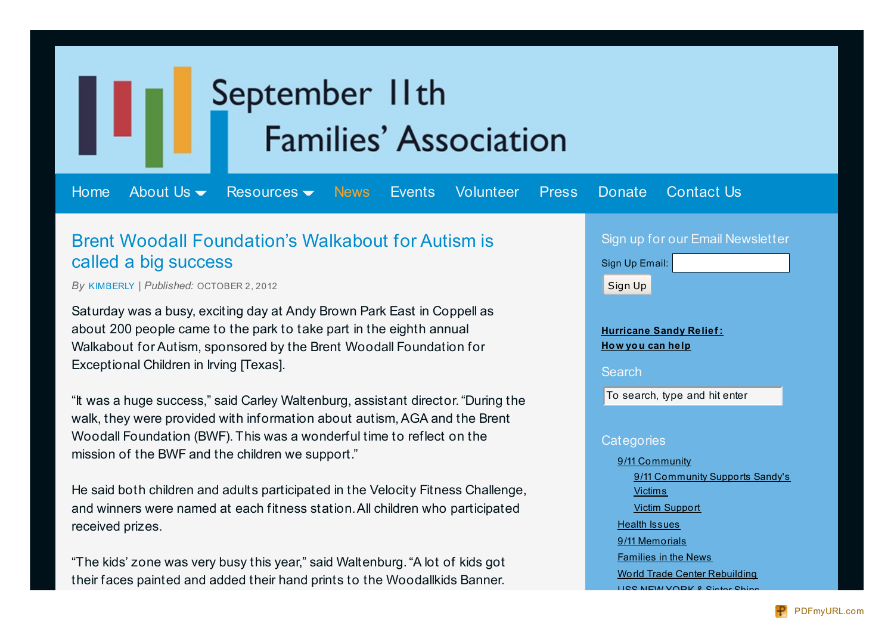# September IIth **Families' Association**

[Home](http://www.911families.org/) [About](http://www.911families.org/about-us/) Us  $\blacktriangleright$  [Resources](http://www.911families.org/resources/)  $\blacktriangleright$  [News](http://www.911families.org/news/) [Events](http://www.911families.org/events/) [Volunteer](http://www.911families.org/volunteer/) [Press](http://www.911families.org/press/) [Donate](http://www.911families.org/donate/) [Contact](http://www.911families.org/contact-us/) Us

## Brent Woodall Foundation's Walkabout for Autism is called a big success

*By* [KIMBERLY](http://www.911families.org/author/kimberly/) *| Published:* OCTOBER 2, 2012

Saturday was a busy, exciting day at Andy Brown Park East in Coppell as about 200 people came to the park to take part in the eighth annual Walkabout for Autism, sponsored by the Brent Woodall Foundation for Exceptional Children in Irving [Texas].

"It was a huge success," said Carley Waltenburg, assistant director."During the walk, they were provided with information about autism, AGA and the Brent Woodall Foundation (BWF). This was a wonderful time to reflect on the mission of the BWF and the children we support."

He said both children and adults participated in the Velocity Fitness Challenge, and winners were named at each fitness station.All children who participated received prizes.

"The kids' zone was very busy this year," said Waltenburg."A lot of kids got their faces painted and added their hand prints to the Woodallkids Banner.

### Sign up for our Email Newsletter



**[Hurricane](http://www.911families.org/hurricane-sandy-relief-how-you-can-help/) Sandy Relief : How you can help**

**Search** 

To search, type and hit enter

#### **Categories**

9/11 [Community](http://www.911families.org/category/911-community/) 9/11 [Community](http://www.911families.org/category/911-community/911-community-supports-sandys-victims/) Supports Sandy's **Victims** Victim [Support](http://www.911families.org/category/911-community/victim_support/) Health [Issues](http://www.911families.org/category/health_issues/) 9/11 [Memorials](http://www.911families.org/category/sept11memorials/) [Families](http://www.911families.org/category/families_in_the_news/) in the News World Trade Center [Rebuilding](http://www.911families.org/category/wtc_rebuilding/) USS NEW [YORK](http://www.911families.org/category/uss-new-york-and-sister-ships/) & Sister Ship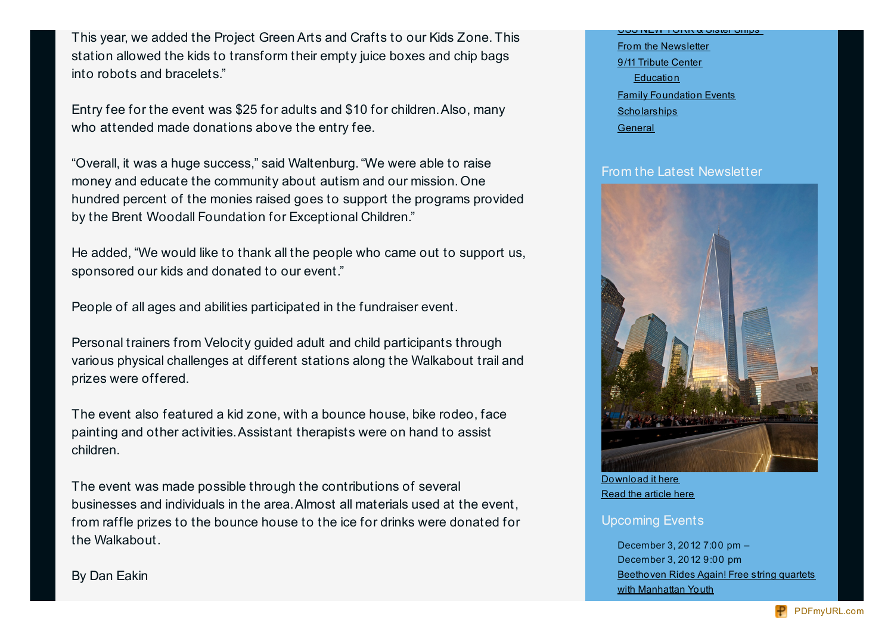This year, we added the Project Green Arts and Crafts to our Kids Zone. This station allowed the kids to transform their empty juice boxes and chip bags into robots and bracelets."

Entry fee for the event was \$25 for adults and \$10 for children.Also, many who attended made donations above the entry fee.

"Overall, it was a huge success," said Waltenburg."We were able to raise money and educate the community about autism and our mission. One hundred percent of the monies raised goes to support the programs provided by the Brent Woodall Foundation for Exceptional Children."

He added, "We would like to thank all the people who came out to support us, sponsored our kids and donated to our event."

People of all ages and abilities participated in the fundraiser event.

Personal trainers from Velocity guided adult and child participants through various physical challenges at different stations along the Walkabout trail and prizes were offered.

The event also featured a kid zone, with a bounce house, bike rodeo, face painting and other activities.Assistant therapists were on hand to assist children.

The event was made possible through the contributions of several businesses and individuals in the area.Almost all materials used at the event, from raffle prizes to the bounce house to the ice for drinks were donated for the Walkabout.

<u> אוווס ושופוט א ממטי וואשון סטט</u> From the [Newsletter](http://www.911families.org/category/newsletter-2/) 9/11 [Tribute](http://www.911families.org/category/tribute/) Center **[Education](http://www.911families.org/category/tribute/education/)** Family [Foundation](http://www.911families.org/category/family_foundation_events/) Events **[Scholarships](http://www.911families.org/category/scholarships/) [General](http://www.911families.org/category/general/)** 

#### From the Latest Newsletter



[Download](http://www.911families.org/wp-content/uploads/2012_09.pdf) it here Read the [article](http://www.911families.org/anniversary-ceremonies/) here

#### Upcoming Events

December 3, 2012 7:00 pm – December 3, 2012 9:00 pm [Beethoven](http://www.911families.org/event/beethoven-rides-again-free-string-quartets-with-manhattan-youth/) Rides Again! Free string quartets with Manhattan Youth

By Dan Eakin